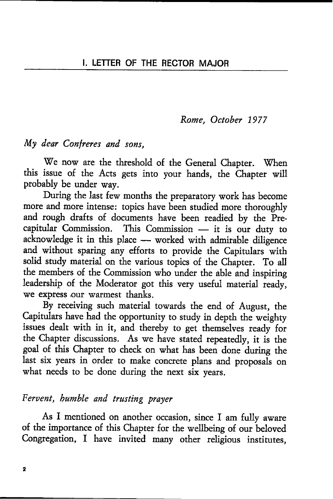Rome, October 1977

#### My dear Contreres and sons.

We now are the threshold of the General Chapter. When this issue of the Acts gets into your hands, the Chapter will probably be under way.

During the last few months the preparatory work has become more and more intense: topics have been studied more thoroughly and rough drafts of documents have been readied by the Precapitular Commission. This Commission - it is our duty to capitular Commission. This Commission - It is our duty to<br>acknowledge it in this place - worked with admirable diligence acknowledge it in this place — worked with admirable diligence<br>and without sparing any efforts to provide the Capitulars with solid study material on the various topics of the Chapter. To all the members of the Commission who under the able and inspiring leadership of the Moderator got this very useful material ready, we express our warmest thanks.

By receiving such material towards the end of August, the Capitulars have had the opportunity to study in depth the weighty issues dealt with in it, and thereby ro get themselves ready for the Chapter discussions. As we have stated repeatedly, it is the goal of this Chapter to check on what has been done during the last six years in order to make concrete plans and proposals on what needs to be done during the next six years.

# Fervent, bumble and trusting praver

As I mentioned on another occasion, since I am fully awate of the importance of this Chapter for the wellbeing of our beloved Congregation, I have invited many other religious institutes,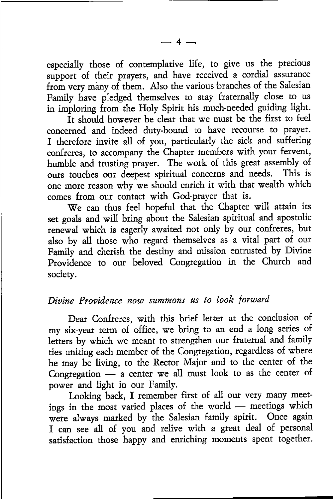especially those of contemplative life, to give us the precious support of their prayers, and have received a cordial assurance from very many of them. Also the various branches of the Salesian Family have pledged themselves to stay fraternally close to us in imploring from the Holy Spirit his much-needed guiding light.

It should however be clear that we must be the first to feel concerned and indeed duty-bound to have recourse to prayer. I therefore invite all of you, particularly the sick and suffering confreres, to accompany the Chapter members with your fervent, humble and trusting prayer. The work of this great assembly of ours touches our deepest spiritual concerns and needs. This is one more reason why we should enrich it with that wealth which comes from our contact with God-prayer that is.

We can thus feel hopeful that the Chapter will attain its set goals and will bring about the Salesian spiritual and apostolic renewal which is eagerly awaited not only by our confteres, but also by all those who regard themselves as a vital part of our Family and cherish the destiny and mission entrusted by Divine Providence to our beloved Congregation in the Church and society.

## Divine Providence now summons us to look forward

Dear Confreres, with this brief letter at the conclusion of my six-yeat term of office, we bring to an end a long series of letters by which we meant to strengthen our fraternal and family ties uniting each member of the Congregation, regardless of where he may be living, to the Rector Major and to the center of the Congregation a center we all must look to as the center of - power and light in our Family.

Looking back, I remember first of all our very many meetings in the most varied places of the world meetings which ings in the most varied places of the world — inectings which were always marked by the Salesian family spirit. Once again I can see all of you and relive with a great deal of personal satisfaction those happy and enriching moments spent together.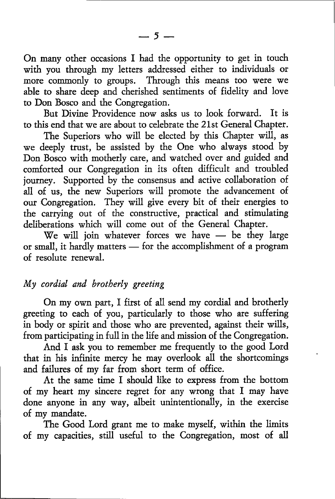On many other occasions I had the opportunity to get in touch with you through my letters addressed either to individuals or more commonly to groups. Through this means too were we able to shate deep and cherished sentiments of fidelity and love to Don Bosco and the Congregation.

But Divine Providence now asks us to look forward. It is to this end that we are about to celebrate the 2Lst General Chapter.

The Superiors who will be elected by this Chapter will, as we deeply trust, be assisted by the One who always stood by Don Bosco with motherly carc, and watched over and guided and conrforted our Congregation in its often difficult and troubled journey. Supported by the consensus and active collaboration of all of us, the new Superiors will promote the advancement of our Congregation. They will give every bit of their energies to the carrying out of the constructive, practical and stimulating deliberations which will come out of the General Chapter.

We will join whatever forces we have - be they large we will join whatever forces we have — be they large<br>or small, it hardly matters — for the accomplishment of a program<br>of resolute renewal. of resolute renewal.

## My cordial and brotherly greeting

On my own part, I first of all send my cordial and brotherly greeting to each of you, particularly to those who are suffering in body or spirit and those who are prevented, against theit wills, from participating in full in the life and mission of the Congregation.

And I ask you to remember me frequently to the good Lord that in his infinite mercy he may overlook all the shottcomings and failures of my far from short term of office.

At the same time I should like to express from the bottom of my heart my sincere regret fot any wrong that I may have done anyone in any way, albeit unintentiondly, in the exercise of my mandate.

The Good Lord grant me to make myself, within the limits of my capacities, still useful to the Congregation, most of all